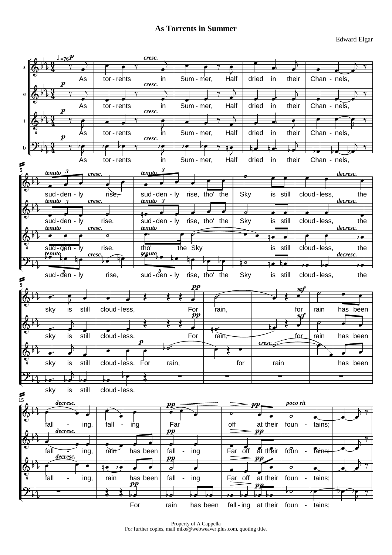

Property of A Cappella For further copies, mail mike@webweaver.plus.com, quoting title.